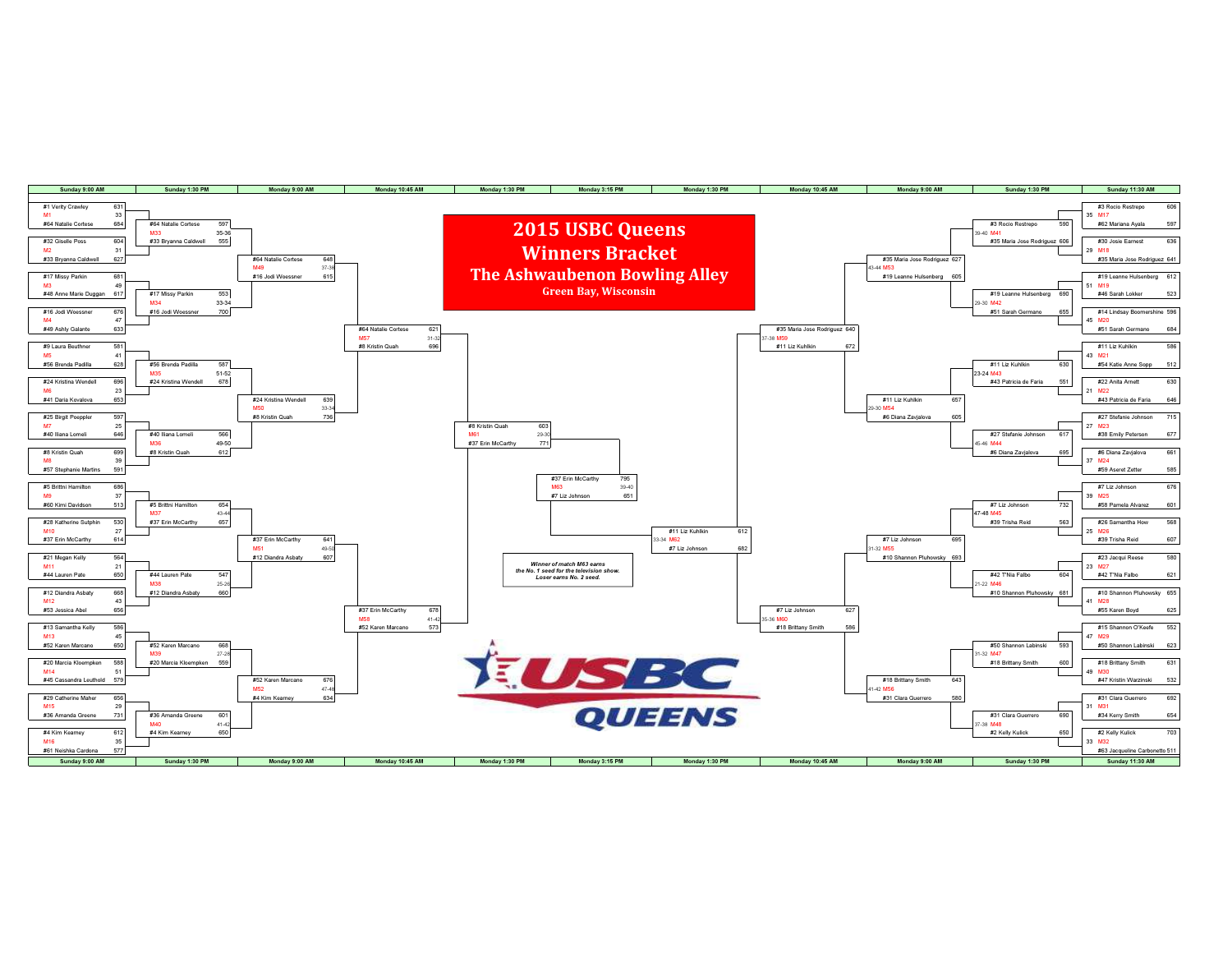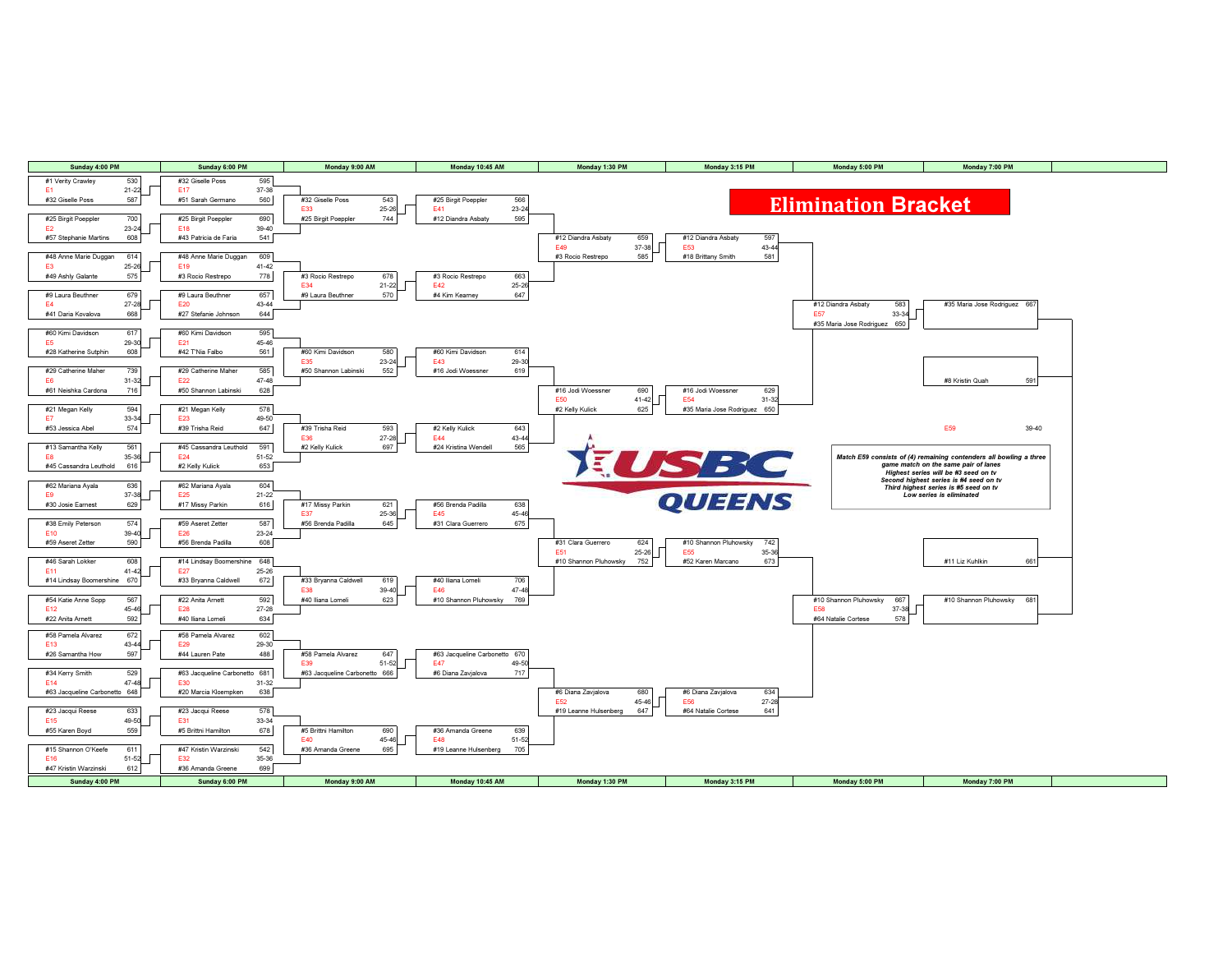